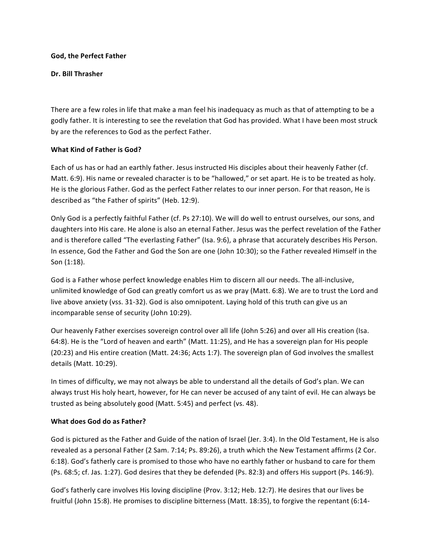#### **God, the Perfect Father**

### **Dr. Bill Thrasher**

There are a few roles in life that make a man feel his inadequacy as much as that of attempting to be a godly father. It is interesting to see the revelation that God has provided. What I have been most struck by are the references to God as the perfect Father.

### **What Kind of Father is God?**

Each of us has or had an earthly father. Jesus instructed His disciples about their heavenly Father (cf. Matt. 6:9). His name or revealed character is to be "hallowed," or set apart. He is to be treated as holy. He is the glorious Father. God as the perfect Father relates to our inner person. For that reason, He is described as "the Father of spirits" (Heb. 12:9).

Only God is a perfectly faithful Father (cf. Ps 27:10). We will do well to entrust ourselves, our sons, and daughters into His care. He alone is also an eternal Father. Jesus was the perfect revelation of the Father and is therefore called "The everlasting Father" (Isa. 9:6), a phrase that accurately describes His Person. In essence, God the Father and God the Son are one (John 10:30); so the Father revealed Himself in the Son (1:18).

God is a Father whose perfect knowledge enables Him to discern all our needs. The all-inclusive, unlimited knowledge of God can greatly comfort us as we pray (Matt. 6:8). We are to trust the Lord and live above anxiety (vss. 31-32). God is also omnipotent. Laying hold of this truth can give us an incomparable sense of security (John 10:29).

Our heavenly Father exercises sovereign control over all life (John 5:26) and over all His creation (Isa. 64:8). He is the "Lord of heaven and earth" (Matt. 11:25), and He has a sovereign plan for His people (20:23) and His entire creation (Matt. 24:36; Acts 1:7). The sovereign plan of God involves the smallest details (Matt. 10:29).

In times of difficulty, we may not always be able to understand all the details of God's plan. We can always trust His holy heart, however, for He can never be accused of any taint of evil. He can always be trusted as being absolutely good (Matt. 5:45) and perfect (vs. 48).

# **What does God do as Father?**

God is pictured as the Father and Guide of the nation of Israel (Jer. 3:4). In the Old Testament, He is also revealed as a personal Father (2 Sam. 7:14; Ps. 89:26), a truth which the New Testament affirms (2 Cor. 6:18). God's fatherly care is promised to those who have no earthly father or husband to care for them (Ps. 68:5; cf. Jas. 1:27). God desires that they be defended (Ps. 82:3) and offers His support (Ps. 146:9).

God's fatherly care involves His loving discipline (Prov. 3:12; Heb. 12:7). He desires that our lives be fruitful (John 15:8). He promises to discipline bitterness (Matt. 18:35), to forgive the repentant (6:14-